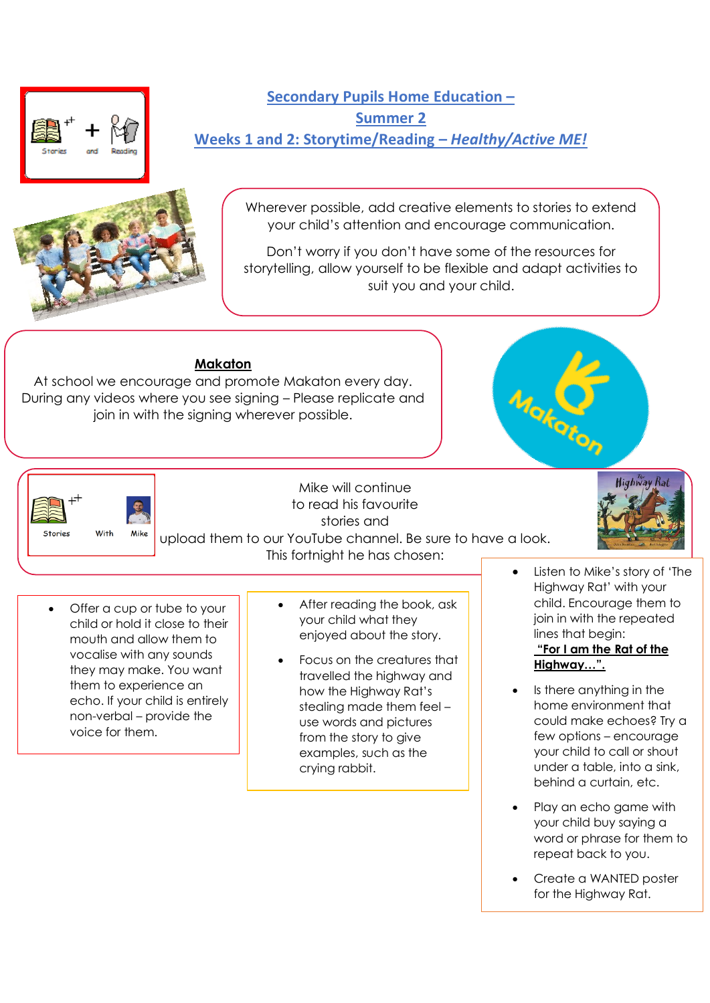



**Secondary Pupils Home Education – Summer 2 Weeks 1 and 2: Storytime/Reading –** *Healthy/Active ME!*

> Wherever possible, add creative elements to stories to extend your child's attention and encourage communication.

> Don't worry if you don't have some of the resources for storytelling, allow yourself to be flexible and adapt activities to suit you and your child.

# **Makaton**

At school we encourage and promote Makaton every day. During any videos where you see signing – Please replicate and join in with the signing wherever possible.





Mike will continue to read his favourite stories and upload them to our YouTube channel. Be sure to have a look.



- Offer a cup or tube to your child or hold it close to their mouth and allow them to vocalise with any sounds they may make. You want them to experience an echo. If your child is entirely non-verbal – provide the voice for them.
- After reading the book, ask your child what they enjoyed about the story.
- Focus on the creatures that travelled the highway and how the Highway Rat's stealing made them feel – use words and pictures from the story to give examples, such as the crying rabbit.
- Listen to Mike's story of 'The Highway Rat' with your child. Encourage them to join in with the repeated lines that begin:

**Highway Rai** 

### **"For I am the Rat of the Highway…".**

- Is there anything in the home environment that could make echoes? Try a few options – encourage your child to call or shout under a table, into a sink, behind a curtain, etc.
- Play an echo game with your child buy saying a word or phrase for them to repeat back to you.
- Create a WANTED poster for the Highway Rat.